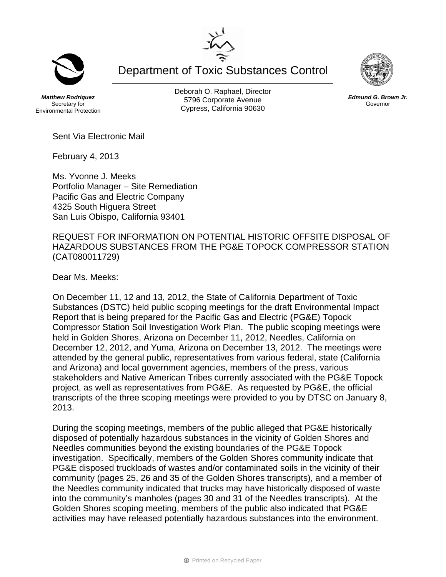**Department of Toxic Substances Control** 

**Matthew Rodriguez** Secretary for **Environmental Protection**  Deborah O. Raphael, Director 5796 Corporate Avenue Cypress, California 90630

Sent Via Electronic Mail

February 4, 2013

Ms. Yvonne J. Meeks Portfolio Manager - Site Remediation Pacific Gas and Electric Company 4325 South Higuera Street San Luis Obispo, California 93401

REQUEST FOR INFORMATION ON POTENTIAL HISTORIC OFFSITE DISPOSAL OF HAZARDOUS SUBSTANCES FROM THE PG&E TOPOCK COMPRESSOR STATION (CAT080011729)

Dear Ms. Meeks:

On December 11, 12 and 13, 2012, the State of California Department of Toxic Substances (DSTC) held public scoping meetings for the draft Environmental Impact Report that is being prepared for the Pacific Gas and Electric (PG&E) Topock Compressor Station Soil Investigation Work Plan. The public scoping meetings were held in Golden Shores, Arizona on December 11, 2012, Needles, California on December 12, 2012, and Yuma, Arizona on December 13, 2012. The meetings were attended by the general public, representatives from various federal, state (California and Arizona) and local government agencies, members of the press, various stakeholders and Native American Tribes currently associated with the PG&E Topock project, as well as representatives from PG&E. As requested by PG&E, the official transcripts of the three scoping meetings were provided to you by DTSC on January 8. 2013.

During the scoping meetings, members of the public alleged that PG&E historically disposed of potentially hazardous substances in the vicinity of Golden Shores and Needles communities beyond the existing boundaries of the PG&E Topock investigation. Specifically, members of the Golden Shores community indicate that PG&E disposed truckloads of wastes and/or contaminated soils in the vicinity of their community (pages 25, 26 and 35 of the Golden Shores transcripts), and a member of the Needles community indicated that trucks may have historically disposed of waste into the community's manholes (pages 30 and 31 of the Needles transcripts). At the Golden Shores scoping meeting, members of the public also indicated that PG&E activities may have released potentially hazardous substances into the environment.





Edmund G. Brown Jr. Governor

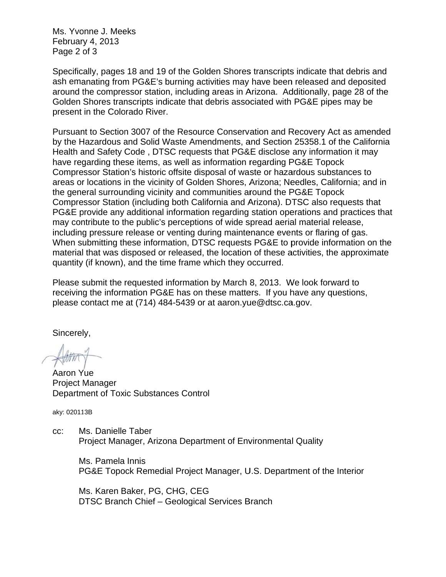Ms. Yvonne J. Meeks February 4, 2013 Page 2 of 3

Specifically, pages 18 and 19 of the Golden Shores transcripts indicate that debris and ash emanating from PG&E's burning activities may have been released and deposited around the compressor station, including areas in Arizona. Additionally, page 28 of the Golden Shores transcripts indicate that debris associated with PG&E pipes may be present in the Colorado River.

Pursuant to Section 3007 of the Resource Conservation and Recovery Act as amended by the Hazardous and Solid Waste Amendments, and Section 25358.1 of the California Health and Safety Code, DTSC requests that PG&E disclose any information it may have regarding these items, as well as information regarding PG&E Topock Compressor Station's historic offsite disposal of waste or hazardous substances to areas or locations in the vicinity of Golden Shores, Arizona: Needles, California: and in the general surrounding vicinity and communities around the PG&E Topock Compressor Station (including both California and Arizona). DTSC also requests that PG&E provide any additional information regarding station operations and practices that may contribute to the public's perceptions of wide spread aerial material release, including pressure release or venting during maintenance events or flaring of gas. When submitting these information, DTSC requests PG&E to provide information on the material that was disposed or released, the location of these activities, the approximate quantity (if known), and the time frame which they occurred.

Please submit the requested information by March 8, 2013. We look forward to receiving the information PG&E has on these matters. If you have any questions, please contact me at (714) 484-5439 or at aaron.yue@dtsc.ca.gov.

Sincerely,

Aaron Yue **Project Manager** Department of Toxic Substances Control

aky: 020113B

Ms. Danielle Taber CC: Project Manager, Arizona Department of Environmental Quality

Ms. Pamela Innis PG&E Topock Remedial Project Manager, U.S. Department of the Interior

Ms. Karen Baker, PG, CHG, CEG DTSC Branch Chief - Geological Services Branch